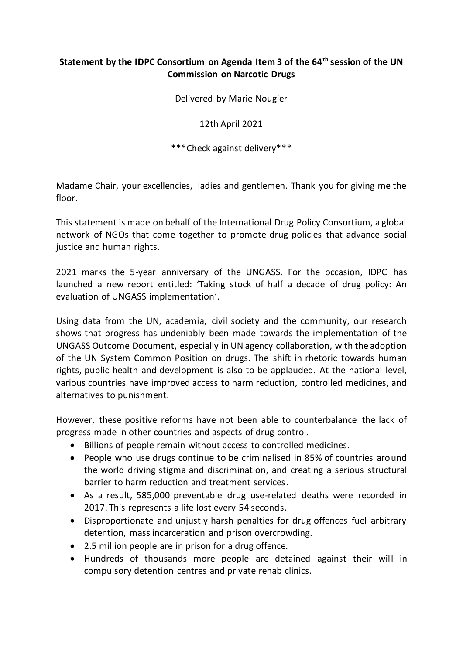## **Statement by the IDPC Consortium on Agenda Item 3 of the 64th session of the UN Commission on Narcotic Drugs**

Delivered by Marie Nougier

12th April 2021

\*\*\*Check against delivery\*\*\*

Madame Chair, your excellencies, ladies and gentlemen. Thank you for giving me the floor.

This statement is made on behalf of the International Drug Policy Consortium, a global network of NGOs that come together to promote drug policies that advance social justice and human rights.

2021 marks the 5-year anniversary of the UNGASS. For the occasion, IDPC has launched a new report entitled: 'Taking stock of half a decade of drug policy: An evaluation of UNGASS implementation'.

Using data from the UN, academia, civil society and the community, our research shows that progress has undeniably been made towards the implementation of the UNGASS Outcome Document, especially in UN agency collaboration, with the adoption of the UN System Common Position on drugs. The shift in rhetoric towards human rights, public health and development is also to be applauded. At the national level, various countries have improved access to harm reduction, controlled medicines, and alternatives to punishment.

However, these positive reforms have not been able to counterbalance the lack of progress made in other countries and aspects of drug control.

- Billions of people remain without access to controlled medicines.
- People who use drugs continue to be criminalised in 85% of countries around the world driving stigma and discrimination, and creating a serious structural barrier to harm reduction and treatment services.
- As a result, 585,000 preventable drug use-related deaths were recorded in 2017. This represents a life lost every 54 seconds.
- Disproportionate and unjustly harsh penalties for drug offences fuel arbitrary detention, mass incarceration and prison overcrowding.
- 2.5 million people are in prison for a drug offence.
- Hundreds of thousands more people are detained against their will in compulsory detention centres and private rehab clinics.